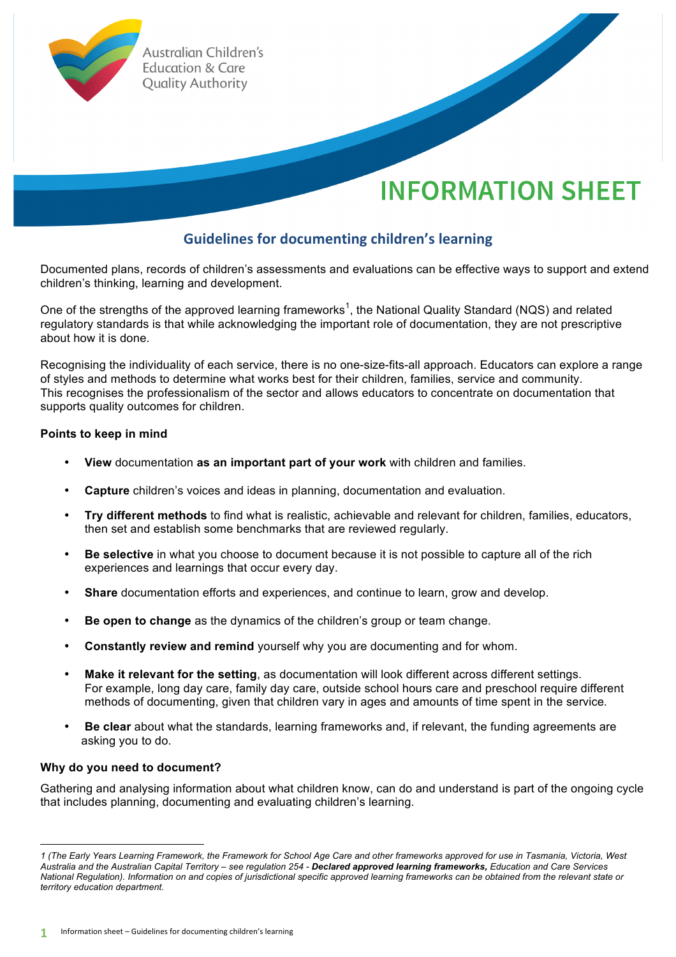

# **Guidelines for documenting children's learning**

Documented plans, records of children's assessments and evaluations can be effective ways to support and extend children's thinking, learning and development.

One of the strengths of the approved learning frameworks<sup>1</sup>, the National Quality Standard (NQS) and related regulatory standards is that while acknowledging the important role of documentation, they are not prescriptive about how it is done.

Recognising the individuality of each service, there is no one-size-fits-all approach. Educators can explore a range of styles and methods to determine what works best for their children, families, service and community. This recognises the professionalism of the sector and allows educators to concentrate on documentation that supports quality outcomes for children.

### **Points to keep in mind**

- **View** documentation **as an important part of your work** with children and families.
- **Capture** children's voices and ideas in planning, documentation and evaluation.
- **Try different methods** to find what is realistic, achievable and relevant for children, families, educators, then set and establish some benchmarks that are reviewed regularly.
- **Be selective** in what you choose to document because it is not possible to capture all of the rich experiences and learnings that occur every day.
- **Share** documentation efforts and experiences, and continue to learn, grow and develop.
- **Be open to change** as the dynamics of the children's group or team change.
- **Constantly review and remind** yourself why you are documenting and for whom.
- **Make it relevant for the setting**, as documentation will look different across different settings. For example, long day care, family day care, outside school hours care and preschool require different methods of documenting, given that children vary in ages and amounts of time spent in the service.
- **Be clear** about what the standards, learning frameworks and, if relevant, the funding agreements are asking you to do.

#### **Why do you need to document?**

Gathering and analysing information about what children know, can do and understand is part of the ongoing cycle that includes planning, documenting and evaluating children's learning.

 *1 (The Early Years Learning Framework, the Framework for School Age Care and other frameworks approved for use in Tasmania, Victoria, West Australia and the Australian Capital Territory – see regulation 254 - Declared approved learning frameworks, Education and Care Services National Regulation). Information on and copies of jurisdictional specific approved learning frameworks can be obtained from the relevant state or territory education department.*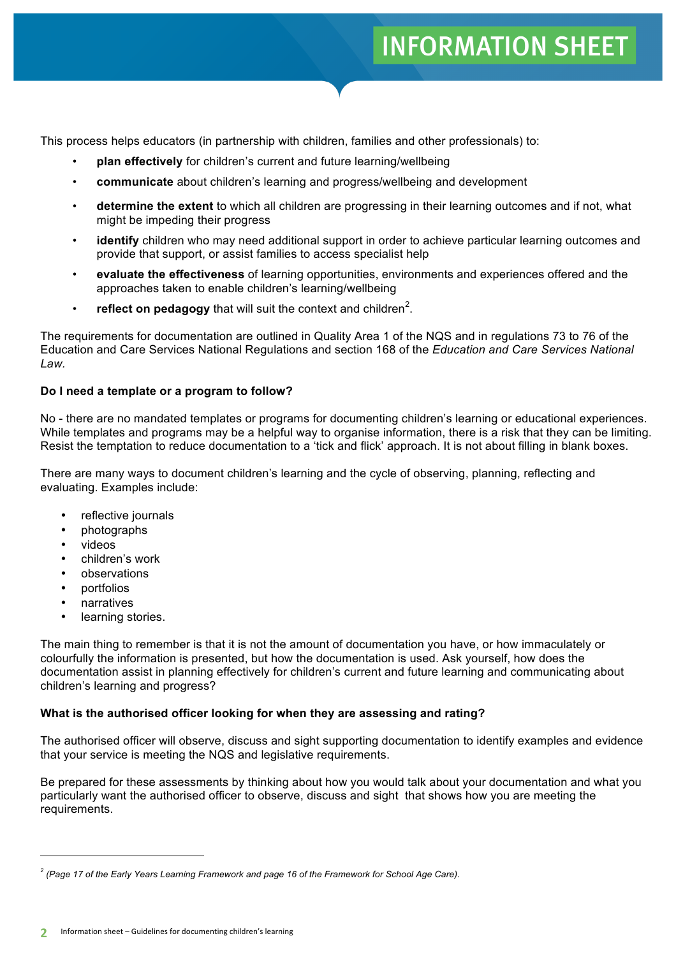# **INFORMATION SHEET**

This process helps educators (in partnership with children, families and other professionals) to:

- **plan effectively** for children's current and future learning/wellbeing
- **communicate** about children's learning and progress/wellbeing and development
- **determine the extent** to which all children are progressing in their learning outcomes and if not, what might be impeding their progress
- identify children who may need additional support in order to achieve particular learning outcomes and provide that support, or assist families to access specialist help
- **evaluate the effectiveness** of learning opportunities, environments and experiences offered and the approaches taken to enable children's learning/wellbeing
- $\cdot$  **reflect on pedagogy** that will suit the context and children<sup>2</sup>.

The requirements for documentation are outlined in Quality Area 1 of the NQS and in regulations 73 to 76 of the Education and Care Services National Regulations and section 168 of the *Education and Care Services National Law.* 

### **Do I need a template or a program to follow?**

No - there are no mandated templates or programs for documenting children's learning or educational experiences. While templates and programs may be a helpful way to organise information, there is a risk that they can be limiting. Resist the temptation to reduce documentation to a 'tick and flick' approach. It is not about filling in blank boxes.

There are many ways to document children's learning and the cycle of observing, planning, reflecting and evaluating. Examples include:

- reflective journals
- photographs
- videos
- children's work
- observations
- portfolios
- **narratives**
- learning stories.

 

The main thing to remember is that it is not the amount of documentation you have, or how immaculately or colourfully the information is presented, but how the documentation is used. Ask yourself, how does the documentation assist in planning effectively for children's current and future learning and communicating about children's learning and progress?

## **What is the authorised officer looking for when they are assessing and rating?**

The authorised officer will observe, discuss and sight supporting documentation to identify examples and evidence that your service is meeting the NQS and legislative requirements.

Be prepared for these assessments by thinking about how you would talk about your documentation and what you particularly want the authorised officer to observe, discuss and sight that shows how you are meeting the requirements.

*<sup>2</sup> (Page 17 of the Early Years Learning Framework and page 16 of the Framework for School Age Care).*